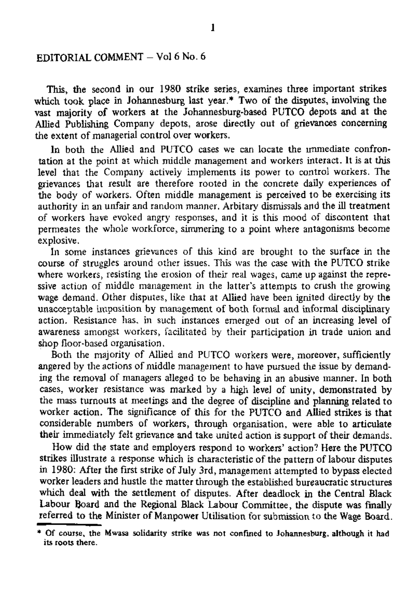## EDITORIAL COMMENT - Vol 6 No. 6

This, the second in our 1980 strike series, examines three important strikes which took place in Johannesburg last year.\* Two of the disputes, involving the vast majority of workers at the Johannesburg-based PUTCO depots and at the Allied Publishing Company depots, arose directly out of grievances concerning the extent of managerial control over workers.

In both the Allied and PUTCO cases we can locate the immediate confrontation at the point at which middle management and workers interact. It is at this level that the Company actively implements its power to control workers. The grievances that result are therefore rooted in the concrete daily experiences of the body of workers. Often middle management is perceived to be exercising its authority in an unfair and random manner. Arbitary dismissals and the ill treatment of workers have evoked angry responses, and it is this mood of discontent that permeates the whole workforce, simmering to a point where antagonisms become explosive.

In some instances grievances of this kind are brought to the surface in the course of struggles around other issues. This was the case with the PUTCO strike where workers, resisting the erosion of their real wages, came up against the repressive action of middle management in the latter's attempts to crush the growing wage demand. Other disputes, like that at Allied have been ignited directly by the unacceptable imposition by management of both formal and informal disciplinary action. Resistance has, in such instances emerged out of an increasing level of awareness amongst workers, facilitated by their participation in trade union and shop floor-based organisation.

Both the majority of Allied and PUTCO workers were, moreover, sufficiently angered by the actions of middle management to have pursued the issue by demanding the removal of managers alleged to be behaving in an abusive manner. In both cases, worker resistance was marked by a high level of unity, demonstrated by the mass turnouts at meetings and the degree of discipline and planning related to worker action. The significance of this for the PUTCO and Allied strikes is that considerable numbers of workers, through organisation, were able to articulate their immediately felt grievance and take united action is support of their demands.

How did the state and employers respond to workers' action? Here the PUTCO strikes illustrate a response which is characteristic of the pattern of labour disputes in 1980: After the first strike of July 3rd, management attempted to bypass elected worker leaders and hustle the matter through the established bureaucratic structures which deal with the settlement of disputes. After deadlock in the Central Black Labour Board and the Regional Black Labour Committee, the dispute was finally referred to the Minister of Manpower Utilisation for submission to the Wage Board.

<sup>\*</sup> Of course, the Mwasa solidarity strike was not confined to Johannesburg, although it had its roots there.